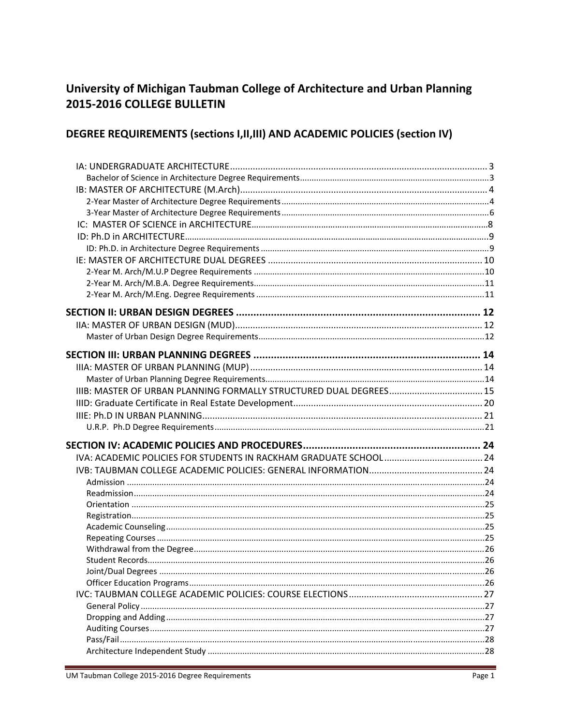# University of Michigan Taubman College of Architecture and Urban Planning 2015-2016 COLLEGE BULLETIN

# DEGREE REQUIREMENTS (sections I, II, III) AND ACADEMIC POLICIES (section IV)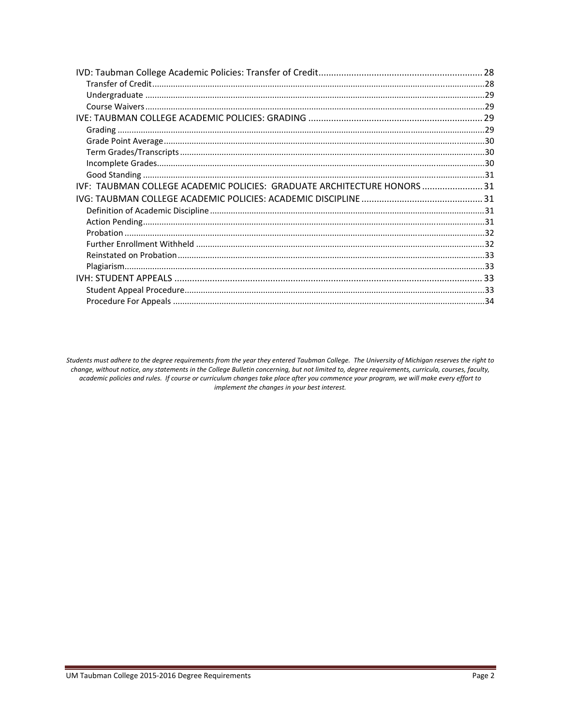| IVF: TAUBMAN COLLEGE ACADEMIC POLICIES: GRADUATE ARCHITECTURE HONORS 31 |  |
|-------------------------------------------------------------------------|--|
|                                                                         |  |
|                                                                         |  |
|                                                                         |  |
|                                                                         |  |
|                                                                         |  |
|                                                                         |  |
|                                                                         |  |
|                                                                         |  |
|                                                                         |  |
|                                                                         |  |

Students must adhere to the degree requirements from the year they entered Taubman College. The University of Michigan reserves the right to change, without notice, any statements in the College Bulletin concerning, but not limited to, degree requirements, curricula, courses, faculty, academic policies and rules. If course or curriculum changes take place after you commence your program, we will make every effort to implement the changes in your best interest.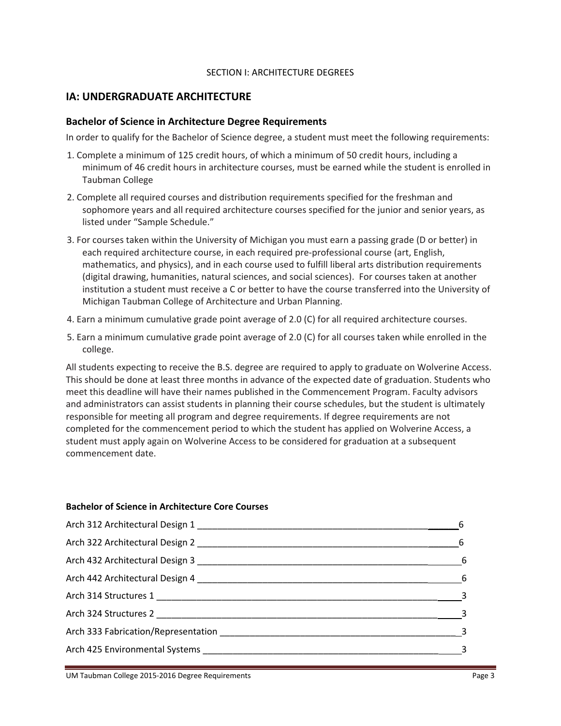#### SECTION I: ARCHITECTURE DEGREES

# **IA: UNDERGRADUATE ARCHITECTURE**

#### **Bachelor of Science in Architecture Degree Requirements**

In order to qualify for the Bachelor of Science degree, a student must meet the following requirements:

- 1. Complete a minimum of 125 credit hours, of which a minimum of 50 credit hours, including a minimum of 46 credit hours in architecture courses, must be earned while the student is enrolled in Taubman College
- 2. Complete all required courses and distribution requirements specified for the freshman and sophomore years and all required architecture courses specified for the junior and senior years, as listed under "Sample Schedule."
- 3. For courses taken within the University of Michigan you must earn a passing grade (D or better) in each required architecture course, in each required pre‐professional course (art, English, mathematics, and physics), and in each course used to fulfill liberal arts distribution requirements (digital drawing, humanities, natural sciences, and social sciences). For courses taken at another institution a student must receive a C or better to have the course transferred into the University of Michigan Taubman College of Architecture and Urban Planning.
- 4. Earn a minimum cumulative grade point average of 2.0 (C) for all required architecture courses.
- 5. Earn a minimum cumulative grade point average of 2.0 (C) for all courses taken while enrolled in the college.

All students expecting to receive the B.S. degree are required to apply to graduate on Wolverine Access. This should be done at least three months in advance of the expected date of graduation. Students who meet this deadline will have their names published in the Commencement Program. Faculty advisors and administrators can assist students in planning their course schedules, but the student is ultimately responsible for meeting all program and degree requirements. If degree requirements are not completed for the commencement period to which the student has applied on Wolverine Access, a student must apply again on Wolverine Access to be considered for graduation at a subsequent commencement date.

#### **Bachelor of Science in Architecture Core Courses**

| 6                                        |  |
|------------------------------------------|--|
| $\frac{1}{\sqrt{1-\frac{1}{2}}}\qquad 6$ |  |
| $\overline{6}$                           |  |
| $6\overline{6}$                          |  |
| $\overline{\mathbf{3}}$                  |  |
|                                          |  |
|                                          |  |
|                                          |  |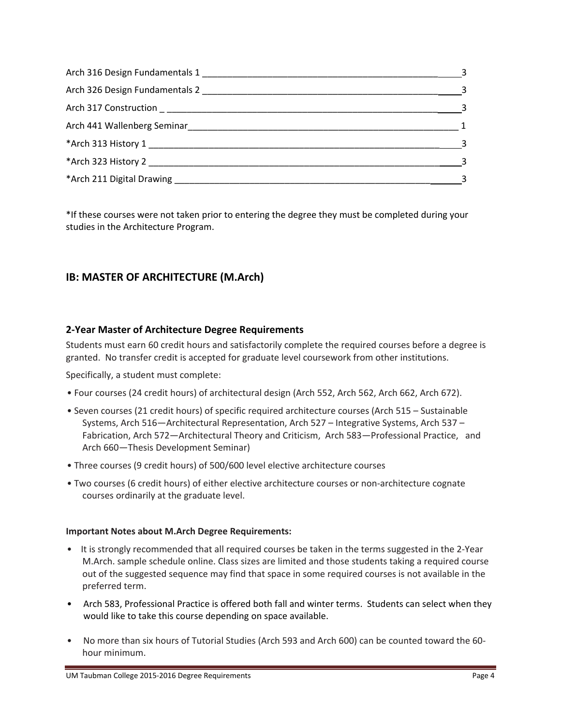| $\sim$ 3                   |
|----------------------------|
|                            |
| $\sim$ 3                   |
| $\overline{1}$             |
| $\sim$ 3                   |
|                            |
| $\overline{\phantom{a}}$ 3 |

\*If these courses were not taken prior to entering the degree they must be completed during your studies in the Architecture Program.

# **IB: MASTER OF ARCHITECTURE (M.Arch)**

# **2‐Year Master of Architecture Degree Requirements**

Students must earn 60 credit hours and satisfactorily complete the required courses before a degree is granted. No transfer credit is accepted for graduate level coursework from other institutions.

Specifically, a student must complete:

- Four courses (24 credit hours) of architectural design (Arch 552, Arch 562, Arch 662, Arch 672).
- Seven courses (21 credit hours) of specific required architecture courses (Arch 515 Sustainable Systems, Arch 516—Architectural Representation, Arch 527 – Integrative Systems, Arch 537 – Fabrication, Arch 572—Architectural Theory and Criticism, Arch 583—Professional Practice, and Arch 660—Thesis Development Seminar)
- Three courses (9 credit hours) of 500/600 level elective architecture courses
- Two courses (6 credit hours) of either elective architecture courses or non‐architecture cognate courses ordinarily at the graduate level.

#### **Important Notes about M.Arch Degree Requirements:**

- It is strongly recommended that all required courses be taken in the terms suggested in the 2-Year M.Arch. sample schedule online. Class sizes are limited and those students taking a required course out of the suggested sequence may find that space in some required courses is not available in the preferred term.
- Arch 583, Professional Practice is offered both fall and winter terms. Students can select when they would like to take this course depending on space available.
- No more than six hours of Tutorial Studies (Arch 593 and Arch 600) can be counted toward the 60hour minimum.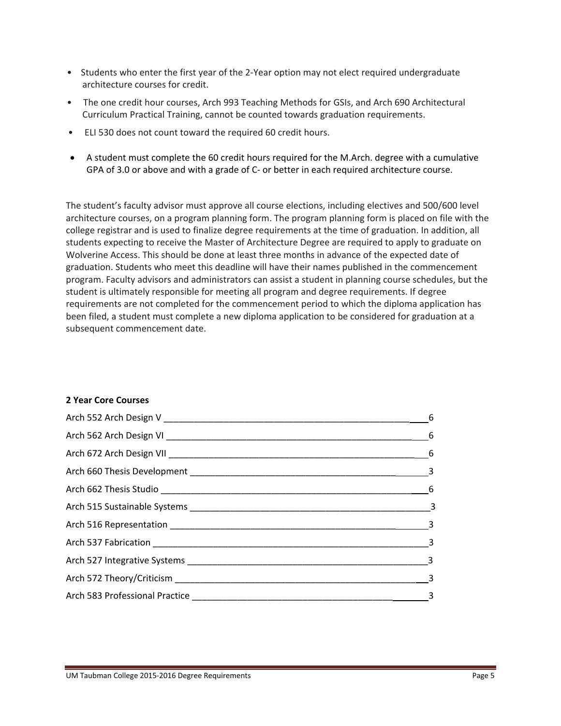- Students who enter the first year of the 2-Year option may not elect required undergraduate architecture courses for credit.
- The one credit hour courses, Arch 993 Teaching Methods for GSIs, and Arch 690 Architectural Curriculum Practical Training, cannot be counted towards graduation requirements.
- ELI 530 does not count toward the required 60 credit hours.
- A student must complete the 60 credit hours required for the M.Arch. degree with a cumulative GPA of 3.0 or above and with a grade of C- or better in each required architecture course.

The student's faculty advisor must approve all course elections, including electives and 500/600 level architecture courses, on a program planning form. The program planning form is placed on file with the college registrar and is used to finalize degree requirements at the time of graduation. In addition, all students expecting to receive the Master of Architecture Degree are required to apply to graduate on Wolverine Access. This should be done at least three months in advance of the expected date of graduation. Students who meet this deadline will have their names published in the commencement program. Faculty advisors and administrators can assist a student in planning course schedules, but the student is ultimately responsible for meeting all program and degree requirements. If degree requirements are not completed for the commencement period to which the diploma application has been filed, a student must complete a new diploma application to be considered for graduation at a subsequent commencement date.

#### **2 Year Core Courses**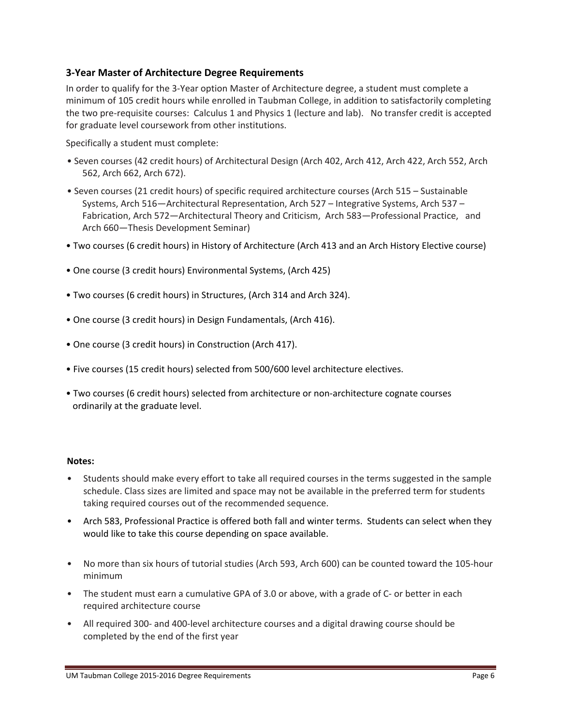# **3‐Year Master of Architecture Degree Requirements**

In order to qualify for the 3‐Year option Master of Architecture degree, a student must complete a minimum of 105 credit hours while enrolled in Taubman College, in addition to satisfactorily completing the two pre‐requisite courses: Calculus 1 and Physics 1 (lecture and lab). No transfer credit is accepted for graduate level coursework from other institutions.

Specifically a student must complete:

- Seven courses (42 credit hours) of Architectural Design (Arch 402, Arch 412, Arch 422, Arch 552, Arch 562, Arch 662, Arch 672).
- Seven courses (21 credit hours) of specific required architecture courses (Arch 515 Sustainable Systems, Arch 516—Architectural Representation, Arch 527 – Integrative Systems, Arch 537 – Fabrication, Arch 572—Architectural Theory and Criticism, Arch 583—Professional Practice, and Arch 660—Thesis Development Seminar)
- Two courses (6 credit hours) in History of Architecture (Arch 413 and an Arch History Elective course)
- One course (3 credit hours) Environmental Systems, (Arch 425)
- Two courses (6 credit hours) in Structures, (Arch 314 and Arch 324).
- One course (3 credit hours) in Design Fundamentals, (Arch 416).
- One course (3 credit hours) in Construction (Arch 417).
- Five courses (15 credit hours) selected from 500/600 level architecture electives.
- Two courses (6 credit hours) selected from architecture or non-architecture cognate courses ordinarily at the graduate level.

#### **Notes:**

- Students should make every effort to take all required courses in the terms suggested in the sample schedule. Class sizes are limited and space may not be available in the preferred term for students taking required courses out of the recommended sequence.
- Arch 583, Professional Practice is offered both fall and winter terms. Students can select when they would like to take this course depending on space available.
- No more than six hours of tutorial studies (Arch 593, Arch 600) can be counted toward the 105-hour minimum
- The student must earn a cumulative GPA of 3.0 or above, with a grade of C- or better in each required architecture course
- All required 300- and 400-level architecture courses and a digital drawing course should be completed by the end of the first year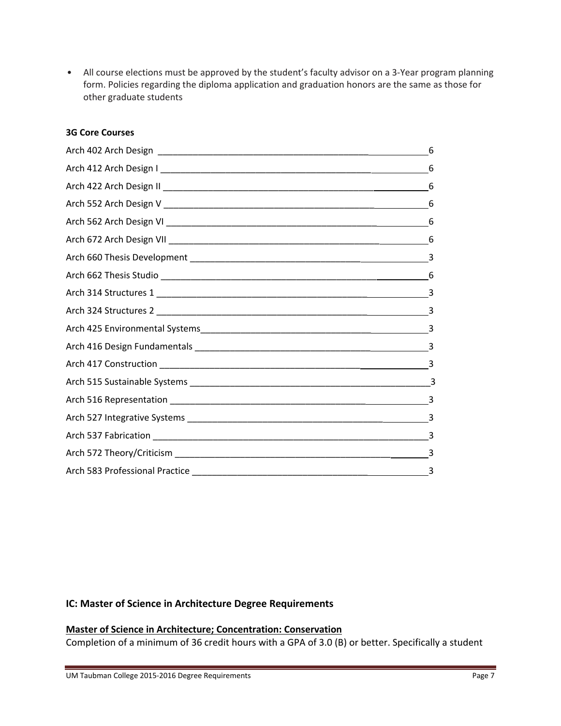• All course elections must be approved by the student's faculty advisor on a 3-Year program planning form. Policies regarding the diploma application and graduation honors are the same as those for other graduate students

#### **3G Core Courses**

| 6 |
|---|
| 6 |
| 6 |
| 6 |
| 6 |
| 6 |
|   |
| 6 |
|   |
|   |
|   |
|   |
|   |
|   |
|   |
|   |
|   |
|   |
|   |

#### **IC: Master of Science in Architecture Degree Requirements**

#### **Master of Science in Architecture; Concentration: Conservation**

Completion of a minimum of 36 credit hours with a GPA of 3.0 (B) or better. Specifically a student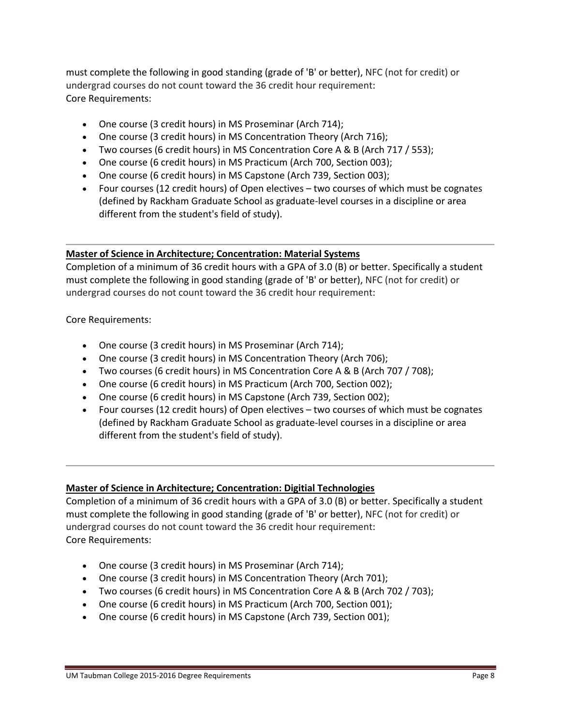must complete the following in good standing (grade of 'B' or better), NFC (not for credit) or undergrad courses do not count toward the 36 credit hour requirement: Core Requirements:

- One course (3 credit hours) in MS Proseminar (Arch 714);
- One course (3 credit hours) in MS Concentration Theory (Arch 716);
- Two courses (6 credit hours) in MS Concentration Core A & B (Arch 717 / 553);
- One course (6 credit hours) in MS Practicum (Arch 700, Section 003);
- One course (6 credit hours) in MS Capstone (Arch 739, Section 003);
- Four courses (12 credit hours) of Open electives two courses of which must be cognates (defined by Rackham Graduate School as graduate‐level courses in a discipline or area different from the student's field of study).

# **Master of Science in Architecture; Concentration: Material Systems**

Completion of a minimum of 36 credit hours with a GPA of 3.0 (B) or better. Specifically a student must complete the following in good standing (grade of 'B' or better), NFC (not for credit) or undergrad courses do not count toward the 36 credit hour requirement:

Core Requirements:

- One course (3 credit hours) in MS Proseminar (Arch 714);
- One course (3 credit hours) in MS Concentration Theory (Arch 706);
- Two courses (6 credit hours) in MS Concentration Core A & B (Arch 707 / 708);
- One course (6 credit hours) in MS Practicum (Arch 700, Section 002);
- One course (6 credit hours) in MS Capstone (Arch 739, Section 002);
- Four courses (12 credit hours) of Open electives two courses of which must be cognates (defined by Rackham Graduate School as graduate‐level courses in a discipline or area different from the student's field of study).

# **Master of Science in Architecture; Concentration: Digitial Technologies**

Completion of a minimum of 36 credit hours with a GPA of 3.0 (B) or better. Specifically a student must complete the following in good standing (grade of 'B' or better), NFC (not for credit) or undergrad courses do not count toward the 36 credit hour requirement: Core Requirements:

- One course (3 credit hours) in MS Proseminar (Arch 714);
- One course (3 credit hours) in MS Concentration Theory (Arch 701);
- Two courses (6 credit hours) in MS Concentration Core A & B (Arch 702 / 703);
- One course (6 credit hours) in MS Practicum (Arch 700, Section 001);
- One course (6 credit hours) in MS Capstone (Arch 739, Section 001);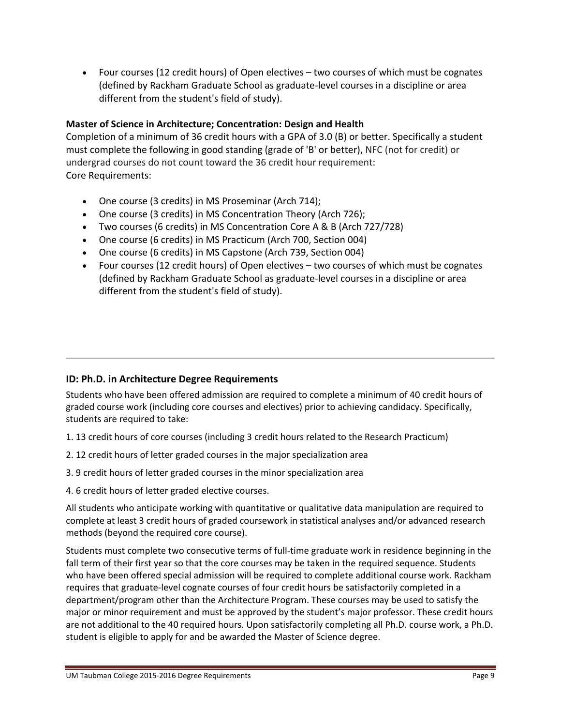Four courses (12 credit hours) of Open electives – two courses of which must be cognates (defined by Rackham Graduate School as graduate‐level courses in a discipline or area different from the student's field of study).

# **Master of Science in Architecture; Concentration: Design and Health**

Completion of a minimum of 36 credit hours with a GPA of 3.0 (B) or better. Specifically a student must complete the following in good standing (grade of 'B' or better), NFC (not for credit) or undergrad courses do not count toward the 36 credit hour requirement: Core Requirements:

- One course (3 credits) in MS Proseminar (Arch 714);
- One course (3 credits) in MS Concentration Theory (Arch 726);
- Two courses (6 credits) in MS Concentration Core A & B (Arch 727/728)
- One course (6 credits) in MS Practicum (Arch 700, Section 004)
- One course (6 credits) in MS Capstone (Arch 739, Section 004)
- Four courses (12 credit hours) of Open electives two courses of which must be cognates (defined by Rackham Graduate School as graduate‐level courses in a discipline or area different from the student's field of study).

# **ID: Ph.D. in Architecture Degree Requirements**

Students who have been offered admission are required to complete a minimum of 40 credit hours of graded course work (including core courses and electives) prior to achieving candidacy. Specifically, students are required to take:

- 1. 13 credit hours of core courses (including 3 credit hours related to the Research Practicum)
- 2. 12 credit hours of letter graded courses in the major specialization area
- 3. 9 credit hours of letter graded courses in the minor specialization area
- 4. 6 credit hours of letter graded elective courses.

All students who anticipate working with quantitative or qualitative data manipulation are required to complete at least 3 credit hours of graded coursework in statistical analyses and/or advanced research methods (beyond the required core course).

Students must complete two consecutive terms of full‐time graduate work in residence beginning in the fall term of their first year so that the core courses may be taken in the required sequence. Students who have been offered special admission will be required to complete additional course work. Rackham requires that graduate‐level cognate courses of four credit hours be satisfactorily completed in a department/program other than the Architecture Program. These courses may be used to satisfy the major or minor requirement and must be approved by the student's major professor. These credit hours are not additional to the 40 required hours. Upon satisfactorily completing all Ph.D. course work, a Ph.D. student is eligible to apply for and be awarded the Master of Science degree.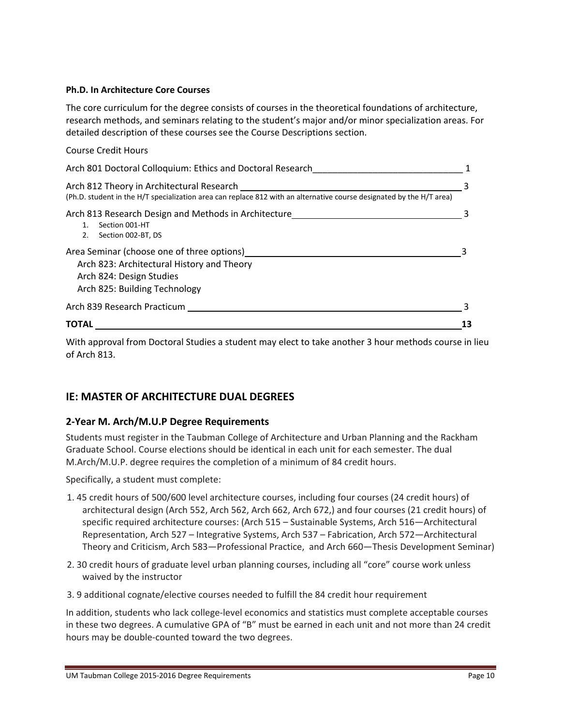#### **Ph.D. In Architecture Core Courses**

The core curriculum for the degree consists of courses in the theoretical foundations of architecture, research methods, and seminars relating to the student's major and/or minor specialization areas. For detailed description of these courses see the Course Descriptions section.

| <b>Course Credit Hours</b>                                                                                                                                        |  |
|-------------------------------------------------------------------------------------------------------------------------------------------------------------------|--|
| Arch 801 Doctoral Colloquium: Ethics and Doctoral Research                                                                                                        |  |
| Arch 812 Theory in Architectural Research<br>(Ph.D. student in the H/T specialization area can replace 812 with an alternative course designated by the H/T area) |  |
| Arch 813 Research Design and Methods in Architecture<br>Section 001-HT<br>Section 002-BT, DS<br>2.                                                                |  |
| Area Seminar (choose one of three options)<br>Arch 823: Architectural History and Theory<br>Arch 824: Design Studies<br>Arch 825: Building Technology             |  |
| Arch 839 Research Practicum                                                                                                                                       |  |
| TOTAL                                                                                                                                                             |  |

With approval from Doctoral Studies a student may elect to take another 3 hour methods course in lieu of Arch 813.

# **IE: MASTER OF ARCHITECTURE DUAL DEGREES**

# **2‐Year M. Arch/M.U.P Degree Requirements**

Students must register in the Taubman College of Architecture and Urban Planning and the Rackham Graduate School. Course elections should be identical in each unit for each semester. The dual M.Arch/M.U.P. degree requires the completion of a minimum of 84 credit hours.

Specifically, a student must complete:

- 1. 45 credit hours of 500/600 level architecture courses, including four courses (24 credit hours) of architectural design (Arch 552, Arch 562, Arch 662, Arch 672,) and four courses (21 credit hours) of specific required architecture courses: (Arch 515 – Sustainable Systems, Arch 516—Architectural Representation, Arch 527 – Integrative Systems, Arch 537 – Fabrication, Arch 572—Architectural Theory and Criticism, Arch 583—Professional Practice, and Arch 660—Thesis Development Seminar)
- 2. 30 credit hours of graduate level urban planning courses, including all "core" course work unless waived by the instructor
- 3. 9 additional cognate/elective courses needed to fulfill the 84 credit hour requirement

In addition, students who lack college‐level economics and statistics must complete acceptable courses in these two degrees. A cumulative GPA of "B" must be earned in each unit and not more than 24 credit hours may be double‐counted toward the two degrees.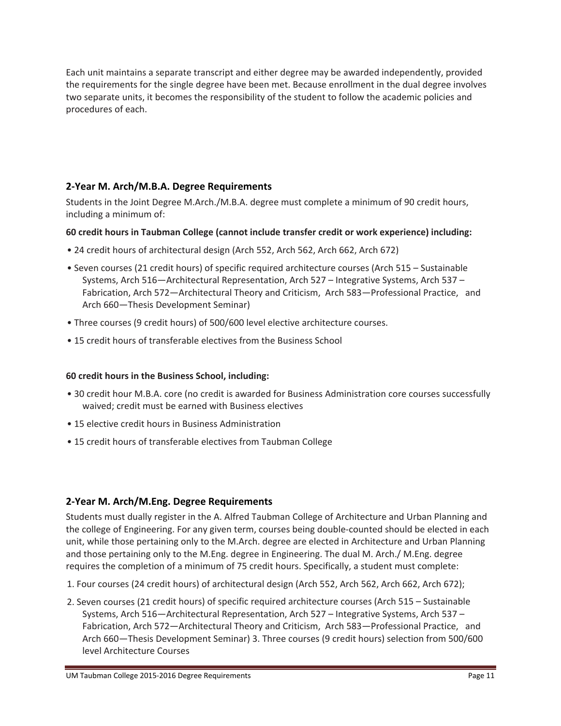Each unit maintains a separate transcript and either degree may be awarded independently, provided the requirements for the single degree have been met. Because enrollment in the dual degree involves two separate units, it becomes the responsibility of the student to follow the academic policies and procedures of each.

# **2‐Year M. Arch/M.B.A. Degree Requirements**

Students in the Joint Degree M.Arch./M.B.A. degree must complete a minimum of 90 credit hours, including a minimum of:

# **60 credit hours in Taubman College (cannot include transfer credit or work experience) including:**

- 24 credit hours of architectural design (Arch 552, Arch 562, Arch 662, Arch 672)
- Seven courses (21 credit hours) of specific required architecture courses (Arch 515 Sustainable Systems, Arch 516—Architectural Representation, Arch 527 – Integrative Systems, Arch 537 – Fabrication, Arch 572—Architectural Theory and Criticism, Arch 583—Professional Practice, and Arch 660—Thesis Development Seminar)
- Three courses (9 credit hours) of 500/600 level elective architecture courses.
- 15 credit hours of transferable electives from the Business School

# **60 credit hours in the Business School, including:**

- 30 credit hour M.B.A. core (no credit is awarded for Business Administration core courses successfully waived; credit must be earned with Business electives
- 15 elective credit hours in Business Administration
- 15 credit hours of transferable electives from Taubman College

# **2‐Year M. Arch/M.Eng. Degree Requirements**

Students must dually register in the A. Alfred Taubman College of Architecture and Urban Planning and the college of Engineering. For any given term, courses being double‐counted should be elected in each unit, while those pertaining only to the M.Arch. degree are elected in Architecture and Urban Planning and those pertaining only to the M.Eng. degree in Engineering. The dual M. Arch./ M.Eng. degree requires the completion of a minimum of 75 credit hours. Specifically, a student must complete:

- 1. Four courses (24 credit hours) of architectural design (Arch 552, Arch 562, Arch 662, Arch 672);
- 2. Seven courses (21 credit hours) of specific required architecture courses (Arch 515 Sustainable Systems, Arch 516—Architectural Representation, Arch 527 – Integrative Systems, Arch 537 – Fabrication, Arch 572—Architectural Theory and Criticism, Arch 583—Professional Practice, and Arch 660—Thesis Development Seminar) 3. Three courses (9 credit hours) selection from 500/600 level Architecture Courses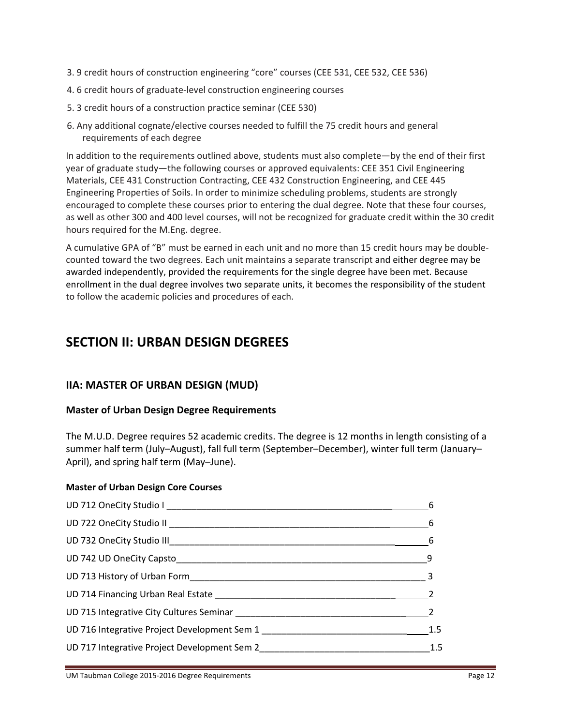- 3. 9 credit hours of construction engineering "core" courses (CEE 531, CEE 532, CEE 536)
- 4. 6 credit hours of graduate‐level construction engineering courses
- 5. 3 credit hours of a construction practice seminar (CEE 530)
- 6. Any additional cognate/elective courses needed to fulfill the 75 credit hours and general requirements of each degree

In addition to the requirements outlined above, students must also complete—by the end of their first year of graduate study—the following courses or approved equivalents: CEE 351 Civil Engineering Materials, CEE 431 Construction Contracting, CEE 432 Construction Engineering, and CEE 445 Engineering Properties of Soils. In order to minimize scheduling problems, students are strongly encouraged to complete these courses prior to entering the dual degree. Note that these four courses, as well as other 300 and 400 level courses, will not be recognized for graduate credit within the 30 credit hours required for the M.Eng. degree.

A cumulative GPA of "B" must be earned in each unit and no more than 15 credit hours may be double‐ counted toward the two degrees. Each unit maintains a separate transcript and either degree may be awarded independently, provided the requirements for the single degree have been met. Because enrollment in the dual degree involves two separate units, it becomes the responsibility of the student to follow the academic policies and procedures of each.

# **SECTION II: URBAN DESIGN DEGREES**

# **IIA: MASTER OF URBAN DESIGN (MUD)**

# **Master of Urban Design Degree Requirements**

The M.U.D. Degree requires 52 academic credits. The degree is 12 months in length consisting of a summer half term (July–August), fall full term (September–December), winter full term (January– April), and spring half term (May–June).

# **Master of Urban Design Core Courses**

| 6                          |
|----------------------------|
| $6\overline{6}$            |
|                            |
| - 9                        |
| $\overline{\phantom{a}}$ 3 |
|                            |
|                            |
| 1.5                        |
| 1.5                        |
|                            |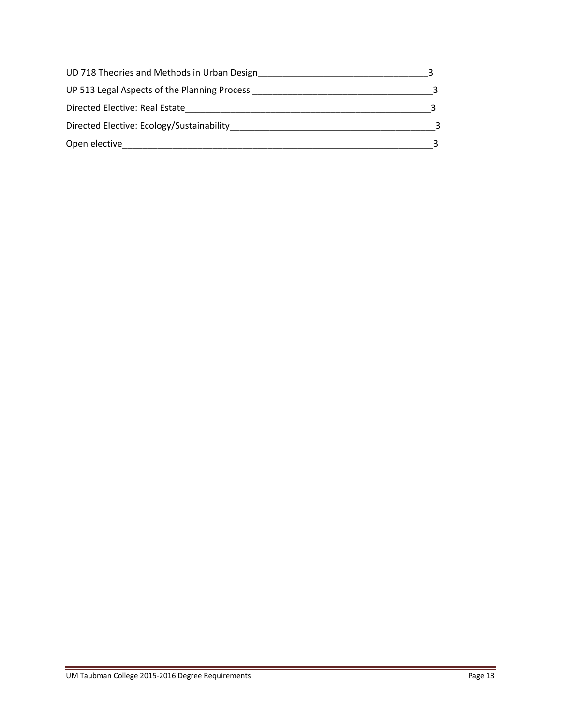| UD 718 Theories and Methods in Urban Design  |  |
|----------------------------------------------|--|
| UP 513 Legal Aspects of the Planning Process |  |
| Directed Elective: Real Estate               |  |
| Directed Elective: Ecology/Sustainability    |  |
| Open elective                                |  |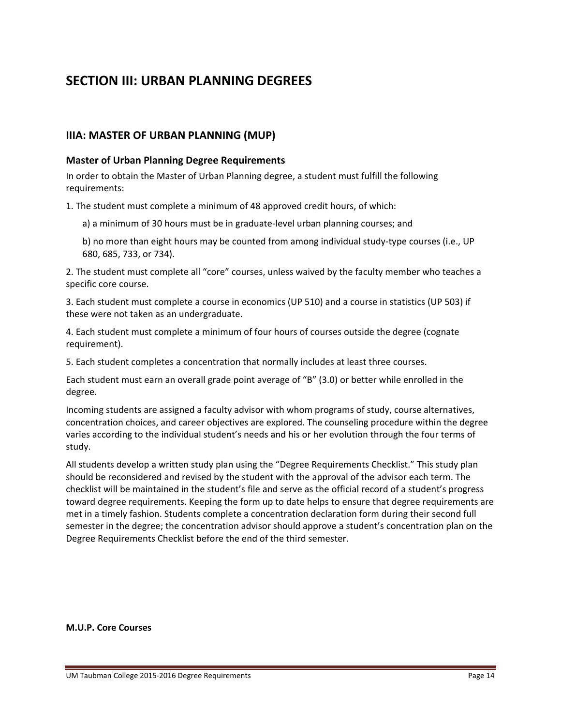# **SECTION III: URBAN PLANNING DEGREES**

# **IIIA: MASTER OF URBAN PLANNING (MUP)**

#### **Master of Urban Planning Degree Requirements**

In order to obtain the Master of Urban Planning degree, a student must fulfill the following requirements:

1. The student must complete a minimum of 48 approved credit hours, of which:

a) a minimum of 30 hours must be in graduate‐level urban planning courses; and

b) no more than eight hours may be counted from among individual study‐type courses (i.e., UP 680, 685, 733, or 734).

2. The student must complete all "core" courses, unless waived by the faculty member who teaches a specific core course.

3. Each student must complete a course in economics (UP 510) and a course in statistics (UP 503) if these were not taken as an undergraduate.

4. Each student must complete a minimum of four hours of courses outside the degree (cognate requirement).

5. Each student completes a concentration that normally includes at least three courses.

Each student must earn an overall grade point average of "B" (3.0) or better while enrolled in the degree.

Incoming students are assigned a faculty advisor with whom programs of study, course alternatives, concentration choices, and career objectives are explored. The counseling procedure within the degree varies according to the individual student's needs and his or her evolution through the four terms of study.

All students develop a written study plan using the "Degree Requirements Checklist." This study plan should be reconsidered and revised by the student with the approval of the advisor each term. The checklist will be maintained in the student's file and serve as the official record of a student's progress toward degree requirements. Keeping the form up to date helps to ensure that degree requirements are met in a timely fashion. Students complete a concentration declaration form during their second full semester in the degree; the concentration advisor should approve a student's concentration plan on the Degree Requirements Checklist before the end of the third semester.

#### **M.U.P. Core Courses**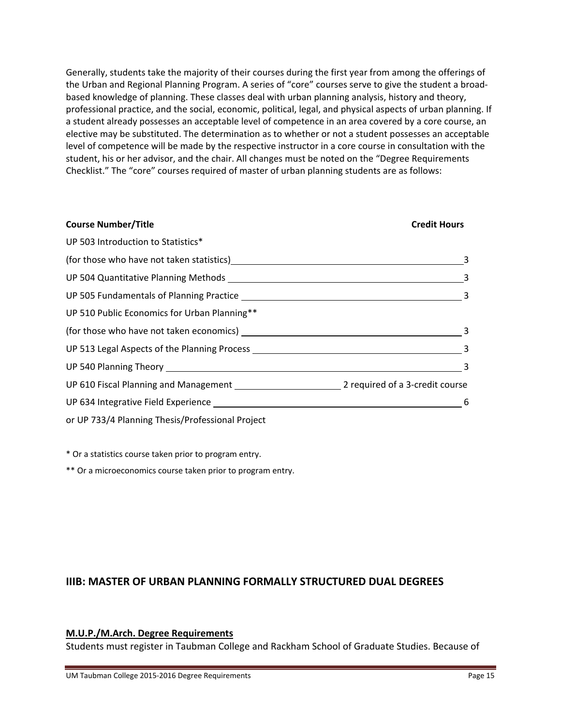Generally, students take the majority of their courses during the first year from among the offerings of the Urban and Regional Planning Program. A series of "core" courses serve to give the student a broad‐ based knowledge of planning. These classes deal with urban planning analysis, history and theory, professional practice, and the social, economic, political, legal, and physical aspects of urban planning. If a student already possesses an acceptable level of competence in an area covered by a core course, an elective may be substituted. The determination as to whether or not a student possesses an acceptable level of competence will be made by the respective instructor in a core course in consultation with the student, his or her advisor, and the chair. All changes must be noted on the "Degree Requirements Checklist." The "core" courses required of master of urban planning students are as follows:

| <b>Course Number/Title</b>                                                                                                                                                                                                     | <b>Credit Hours</b>        |
|--------------------------------------------------------------------------------------------------------------------------------------------------------------------------------------------------------------------------------|----------------------------|
| UP 503 Introduction to Statistics*                                                                                                                                                                                             |                            |
| (for those who have not taken statistics) (a) and the state of the state of the state of the state of the state of the state of the state of the state of the state of the state of the state of the state of the state of the | 3                          |
|                                                                                                                                                                                                                                | $\overline{\mathbf{3}}$    |
|                                                                                                                                                                                                                                | $\overline{\mathbf{3}}$    |
| UP 510 Public Economics for Urban Planning**                                                                                                                                                                                   |                            |
|                                                                                                                                                                                                                                | $\overline{\phantom{a}}$ 3 |
|                                                                                                                                                                                                                                |                            |
|                                                                                                                                                                                                                                | $\overline{\mathbf{3}}$    |
|                                                                                                                                                                                                                                |                            |
|                                                                                                                                                                                                                                | -6                         |
| or UP 733/4 Planning Thesis/Professional Project                                                                                                                                                                               |                            |

\* Or a statistics course taken prior to program entry.

\*\* Or a microeconomics course taken prior to program entry.

# **IIIB: MASTER OF URBAN PLANNING FORMALLY STRUCTURED DUAL DEGREES**

# **M.U.P./M.Arch. Degree Requirements**

Students must register in Taubman College and Rackham School of Graduate Studies. Because of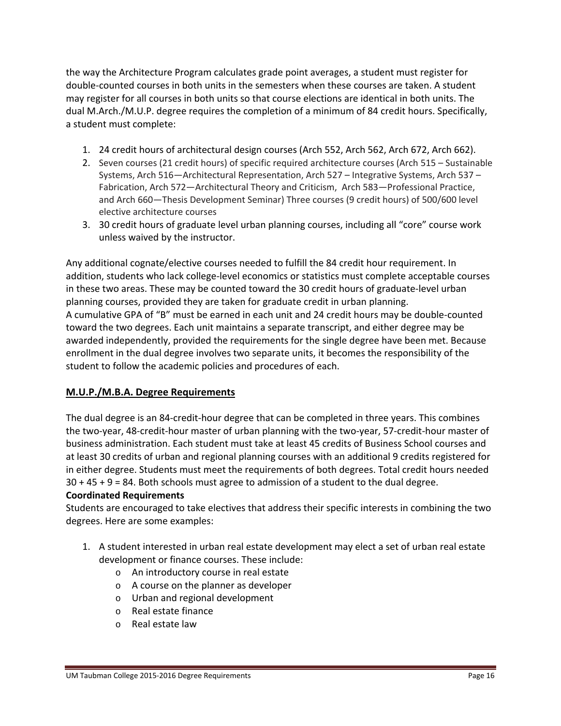the way the Architecture Program calculates grade point averages, a student must register for double-counted courses in both units in the semesters when these courses are taken. A student may register for all courses in both units so that course elections are identical in both units. The dual M.Arch./M.U.P. degree requires the completion of a minimum of 84 credit hours. Specifically, a student must complete:

- 1. 24 credit hours of architectural design courses (Arch 552, Arch 562, Arch 672, Arch 662).
- 2. Seven courses (21 credit hours) of specific required architecture courses (Arch 515 Sustainable Systems, Arch 516—Architectural Representation, Arch 527 – Integrative Systems, Arch 537 – Fabrication, Arch 572—Architectural Theory and Criticism, Arch 583—Professional Practice, and Arch 660—Thesis Development Seminar) Three courses (9 credit hours) of 500/600 level elective architecture courses
- 3. 30 credit hours of graduate level urban planning courses, including all "core" course work unless waived by the instructor.

Any additional cognate/elective courses needed to fulfill the 84 credit hour requirement. In addition, students who lack college‐level economics or statistics must complete acceptable courses in these two areas. These may be counted toward the 30 credit hours of graduate‐level urban planning courses, provided they are taken for graduate credit in urban planning. A cumulative GPA of "B" must be earned in each unit and 24 credit hours may be double‐counted toward the two degrees. Each unit maintains a separate transcript, and either degree may be awarded independently, provided the requirements for the single degree have been met. Because enrollment in the dual degree involves two separate units, it becomes the responsibility of the student to follow the academic policies and procedures of each.

# **M.U.P./M.B.A. Degree Requirements**

The dual degree is an 84‐credit‐hour degree that can be completed in three years. This combines the two‐year, 48‐credit‐hour master of urban planning with the two‐year, 57‐credit‐hour master of business administration. Each student must take at least 45 credits of Business School courses and at least 30 credits of urban and regional planning courses with an additional 9 credits registered for in either degree. Students must meet the requirements of both degrees. Total credit hours needed 30 + 45 + 9 = 84. Both schools must agree to admission of a student to the dual degree.

# **Coordinated Requirements**

Students are encouraged to take electives that address their specific interests in combining the two degrees. Here are some examples:

- 1. A student interested in urban real estate development may elect a set of urban real estate development or finance courses. These include:
	- o An introductory course in real estate
	- o A course on the planner as developer
	- o Urban and regional development
	- o Real estate finance
	- o Real estate law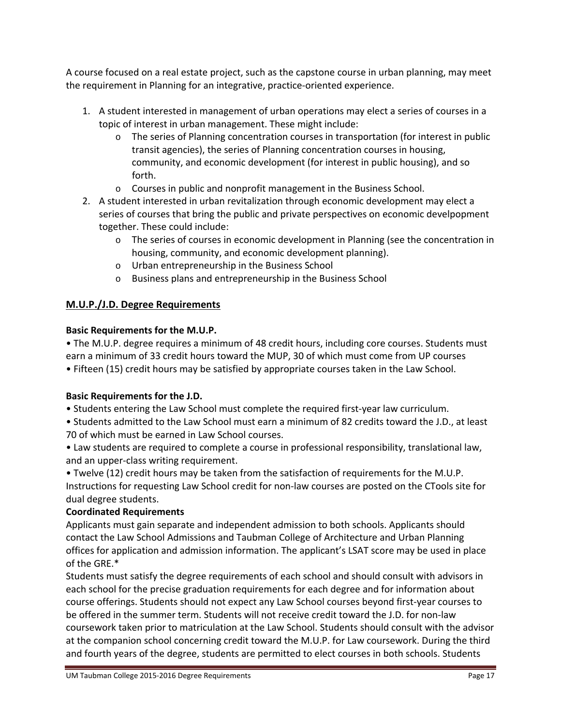A course focused on a real estate project, such as the capstone course in urban planning, may meet the requirement in Planning for an integrative, practice‐oriented experience.

- 1. A student interested in management of urban operations may elect a series of courses in a topic of interest in urban management. These might include:
	- $\circ$  The series of Planning concentration courses in transportation (for interest in public transit agencies), the series of Planning concentration courses in housing, community, and economic development (for interest in public housing), and so forth.
	- o Courses in public and nonprofit management in the Business School.
- 2. A student interested in urban revitalization through economic development may elect a series of courses that bring the public and private perspectives on economic develpopment together. These could include:
	- o The series of courses in economic development in Planning (see the concentration in housing, community, and economic development planning).
	- o Urban entrepreneurship in the Business School
	- o Business plans and entrepreneurship in the Business School

# **M.U.P./J.D. Degree Requirements**

### **Basic Requirements for the M.U.P.**

• The M.U.P. degree requires a minimum of 48 credit hours, including core courses. Students must earn a minimum of 33 credit hours toward the MUP, 30 of which must come from UP courses • Fifteen (15) credit hours may be satisfied by appropriate courses taken in the Law School.

# **Basic Requirements for the J.D.**

- Students entering the Law School must complete the required first‐year law curriculum.
- Students admitted to the Law School must earn a minimum of 82 credits toward the J.D., at least 70 of which must be earned in Law School courses.
- Law students are required to complete a course in professional responsibility, translational law, and an upper‐class writing requirement.

• Twelve (12) credit hours may be taken from the satisfaction of requirements for the M.U.P. Instructions for requesting Law School credit for non‐law courses are posted on the CTools site for dual degree students.

# **Coordinated Requirements**

Applicants must gain separate and independent admission to both schools. Applicants should contact the Law School Admissions and Taubman College of Architecture and Urban Planning offices for application and admission information. The applicant's LSAT score may be used in place of the GRE.\*

Students must satisfy the degree requirements of each school and should consult with advisors in each school for the precise graduation requirements for each degree and for information about course offerings. Students should not expect any Law School courses beyond first‐year courses to be offered in the summer term. Students will not receive credit toward the J.D. for non‐law coursework taken prior to matriculation at the Law School. Students should consult with the advisor at the companion school concerning credit toward the M.U.P. for Law coursework. During the third and fourth years of the degree, students are permitted to elect courses in both schools. Students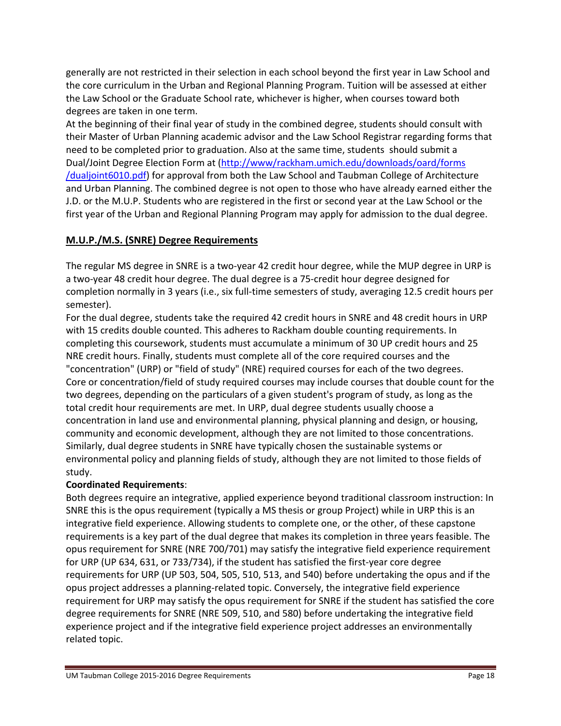generally are not restricted in their selection in each school beyond the first year in Law School and the core curriculum in the Urban and Regional Planning Program. Tuition will be assessed at either the Law School or the Graduate School rate, whichever is higher, when courses toward both degrees are taken in one term.

At the beginning of their final year of study in the combined degree, students should consult with their Master of Urban Planning academic advisor and the Law School Registrar regarding forms that need to be completed prior to graduation. Also at the same time, students should submit a Dual/Joint Degree Election Form at (http://www/rackham.umich.edu/downloads/oard/forms /dualjoint6010.pdf) for approval from both the Law School and Taubman College of Architecture and Urban Planning. The combined degree is not open to those who have already earned either the J.D. or the M.U.P. Students who are registered in the first or second year at the Law School or the first year of the Urban and Regional Planning Program may apply for admission to the dual degree.

# **M.U.P./M.S. (SNRE) Degree Requirements**

The regular MS degree in SNRE is a two‐year 42 credit hour degree, while the MUP degree in URP is a two‐year 48 credit hour degree. The dual degree is a 75‐credit hour degree designed for completion normally in 3 years (i.e., six full-time semesters of study, averaging 12.5 credit hours per semester).

For the dual degree, students take the required 42 credit hours in SNRE and 48 credit hours in URP with 15 credits double counted. This adheres to Rackham double counting requirements. In completing this coursework, students must accumulate a minimum of 30 UP credit hours and 25 NRE credit hours. Finally, students must complete all of the core required courses and the "concentration" (URP) or "field of study" (NRE) required courses for each of the two degrees. Core or concentration/field of study required courses may include courses that double count for the two degrees, depending on the particulars of a given student's program of study, as long as the total credit hour requirements are met. In URP, dual degree students usually choose a concentration in land use and environmental planning, physical planning and design, or housing, community and economic development, although they are not limited to those concentrations. Similarly, dual degree students in SNRE have typically chosen the sustainable systems or environmental policy and planning fields of study, although they are not limited to those fields of study.

# **Coordinated Requirements**:

Both degrees require an integrative, applied experience beyond traditional classroom instruction: In SNRE this is the opus requirement (typically a MS thesis or group Project) while in URP this is an integrative field experience. Allowing students to complete one, or the other, of these capstone requirements is a key part of the dual degree that makes its completion in three years feasible. The opus requirement for SNRE (NRE 700/701) may satisfy the integrative field experience requirement for URP (UP 634, 631, or 733/734), if the student has satisfied the first-year core degree requirements for URP (UP 503, 504, 505, 510, 513, and 540) before undertaking the opus and if the opus project addresses a planning‐related topic. Conversely, the integrative field experience requirement for URP may satisfy the opus requirement for SNRE if the student has satisfied the core degree requirements for SNRE (NRE 509, 510, and 580) before undertaking the integrative field experience project and if the integrative field experience project addresses an environmentally related topic.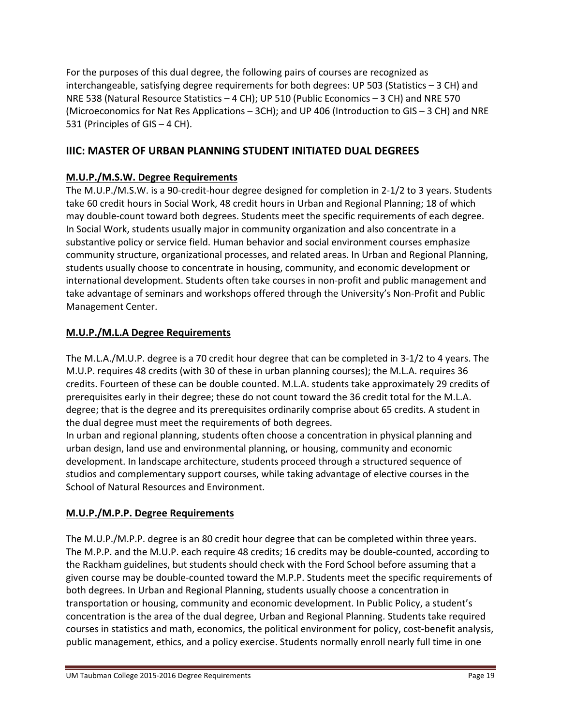For the purposes of this dual degree, the following pairs of courses are recognized as interchangeable, satisfying degree requirements for both degrees: UP 503 (Statistics – 3 CH) and NRE 538 (Natural Resource Statistics – 4 CH); UP 510 (Public Economics – 3 CH) and NRE 570 (Microeconomics for Nat Res Applications – 3CH); and UP 406 (Introduction to GIS – 3 CH) and NRE 531 (Principles of GIS – 4 CH).

# **IIIC: MASTER OF URBAN PLANNING STUDENT INITIATED DUAL DEGREES**

# **M.U.P./M.S.W. Degree Requirements**

The M.U.P./M.S.W. is a 90‐credit‐hour degree designed for completion in 2‐1/2 to 3 years. Students take 60 credit hours in Social Work, 48 credit hours in Urban and Regional Planning; 18 of which may double‐count toward both degrees. Students meet the specific requirements of each degree. In Social Work, students usually major in community organization and also concentrate in a substantive policy or service field. Human behavior and social environment courses emphasize community structure, organizational processes, and related areas. In Urban and Regional Planning, students usually choose to concentrate in housing, community, and economic development or international development. Students often take courses in non‐profit and public management and take advantage of seminars and workshops offered through the University's Non‐Profit and Public Management Center.

# **M.U.P./M.L.A Degree Requirements**

The M.L.A./M.U.P. degree is a 70 credit hour degree that can be completed in 3‐1/2 to 4 years. The M.U.P. requires 48 credits (with 30 of these in urban planning courses); the M.L.A. requires 36 credits. Fourteen of these can be double counted. M.L.A. students take approximately 29 credits of prerequisites early in their degree; these do not count toward the 36 credit total for the M.L.A. degree; that is the degree and its prerequisites ordinarily comprise about 65 credits. A student in the dual degree must meet the requirements of both degrees.

In urban and regional planning, students often choose a concentration in physical planning and urban design, land use and environmental planning, or housing, community and economic development. In landscape architecture, students proceed through a structured sequence of studios and complementary support courses, while taking advantage of elective courses in the School of Natural Resources and Environment.

# **M.U.P./M.P.P. Degree Requirements**

The M.U.P./M.P.P. degree is an 80 credit hour degree that can be completed within three years. The M.P.P. and the M.U.P. each require 48 credits; 16 credits may be double‐counted, according to the Rackham guidelines, but students should check with the Ford School before assuming that a given course may be double‐counted toward the M.P.P. Students meet the specific requirements of both degrees. In Urban and Regional Planning, students usually choose a concentration in transportation or housing, community and economic development. In Public Policy, a student's concentration is the area of the dual degree, Urban and Regional Planning. Students take required courses in statistics and math, economics, the political environment for policy, cost-benefit analysis, public management, ethics, and a policy exercise. Students normally enroll nearly full time in one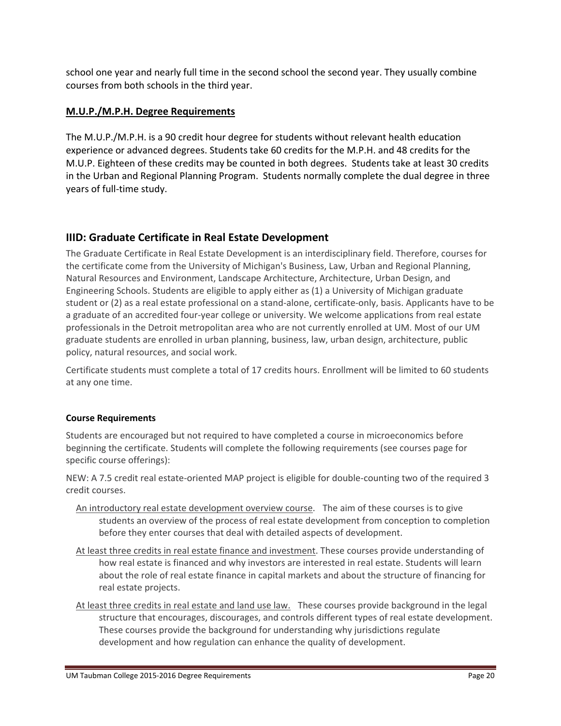school one year and nearly full time in the second school the second year. They usually combine courses from both schools in the third year.

# **M.U.P./M.P.H. Degree Requirements**

The M.U.P./M.P.H. is a 90 credit hour degree for students without relevant health education experience or advanced degrees. Students take 60 credits for the M.P.H. and 48 credits for the M.U.P. Eighteen of these credits may be counted in both degrees. Students take at least 30 credits in the Urban and Regional Planning Program. Students normally complete the dual degree in three years of full‐time study.

# **IIID: Graduate Certificate in Real Estate Development**

The Graduate Certificate in Real Estate Development is an interdisciplinary field. Therefore, courses for the certificate come from the University of Michigan's Business, Law, Urban and Regional Planning, Natural Resources and Environment, Landscape Architecture, Architecture, Urban Design, and Engineering Schools. Students are eligible to apply either as (1) a University of Michigan graduate student or (2) as a real estate professional on a stand‐alone, certificate‐only, basis. Applicants have to be a graduate of an accredited four‐year college or university. We welcome applications from real estate professionals in the Detroit metropolitan area who are not currently enrolled at UM. Most of our UM graduate students are enrolled in urban planning, business, law, urban design, architecture, public policy, natural resources, and social work.

Certificate students must complete a total of 17 credits hours. Enrollment will be limited to 60 students at any one time.

# **Course Requirements**

Students are encouraged but not required to have completed a course in microeconomics before beginning the certificate. Students will complete the following requirements (see courses page for specific course offerings):

NEW: A 7.5 credit real estate‐oriented MAP project is eligible for double‐counting two of the required 3 credit courses.

- An introductory real estate development overview course. The aim of these courses is to give students an overview of the process of real estate development from conception to completion before they enter courses that deal with detailed aspects of development.
- At least three credits in real estate finance and investment. These courses provide understanding of how real estate is financed and why investors are interested in real estate. Students will learn about the role of real estate finance in capital markets and about the structure of financing for real estate projects.
- At least three credits in real estate and land use law. These courses provide background in the legal structure that encourages, discourages, and controls different types of real estate development. These courses provide the background for understanding why jurisdictions regulate development and how regulation can enhance the quality of development.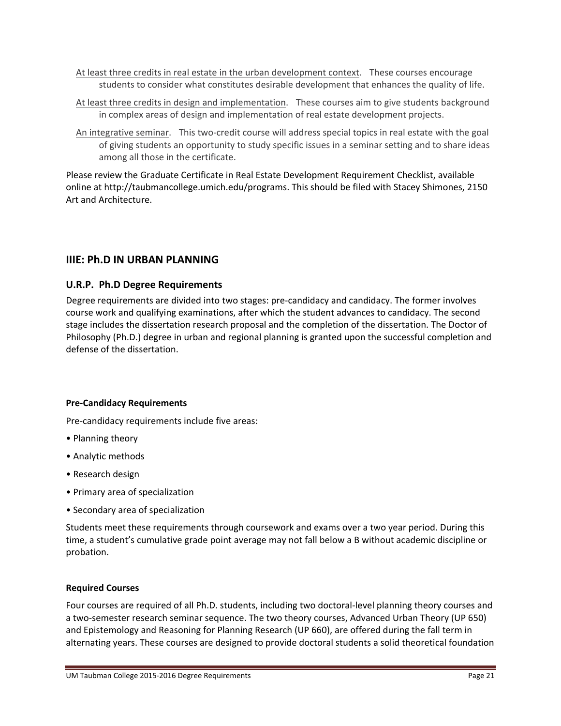- At least three credits in real estate in the urban development context. These courses encourage students to consider what constitutes desirable development that enhances the quality of life.
- At least three credits in design and implementation. These courses aim to give students background in complex areas of design and implementation of real estate development projects.
- An integrative seminar. This two‐credit course will address special topics in real estate with the goal of giving students an opportunity to study specific issues in a seminar setting and to share ideas among all those in the certificate.

Please review the Graduate Certificate in Real Estate Development Requirement Checklist, available online at http://taubmancollege.umich.edu/programs. This should be filed with Stacey Shimones, 2150 Art and Architecture.

# **IIIE: Ph.D IN URBAN PLANNING**

#### **U.R.P. Ph.D Degree Requirements**

Degree requirements are divided into two stages: pre‐candidacy and candidacy. The former involves course work and qualifying examinations, after which the student advances to candidacy. The second stage includes the dissertation research proposal and the completion of the dissertation. The Doctor of Philosophy (Ph.D.) degree in urban and regional planning is granted upon the successful completion and defense of the dissertation.

#### **Pre‐Candidacy Requirements**

Pre‐candidacy requirements include five areas:

- Planning theory
- Analytic methods
- Research design
- Primary area of specialization
- Secondary area of specialization

Students meet these requirements through coursework and exams over a two year period. During this time, a student's cumulative grade point average may not fall below a B without academic discipline or probation.

#### **Required Courses**

Four courses are required of all Ph.D. students, including two doctoral‐level planning theory courses and a two‐semester research seminar sequence. The two theory courses, Advanced Urban Theory (UP 650) and Epistemology and Reasoning for Planning Research (UP 660), are offered during the fall term in alternating years. These courses are designed to provide doctoral students a solid theoretical foundation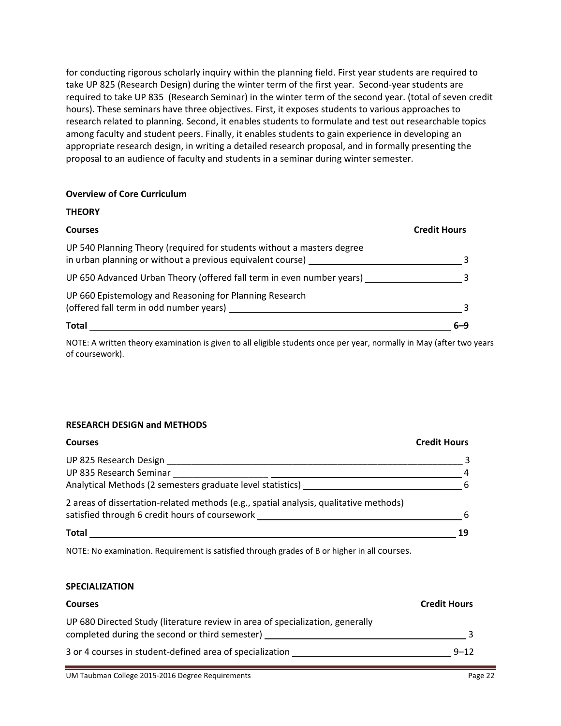for conducting rigorous scholarly inquiry within the planning field. First year students are required to take UP 825 (Research Design) during the winter term of the first year. Second-year students are required to take UP 835 (Research Seminar) in the winter term of the second year. (total of seven credit hours). These seminars have three objectives. First, it exposes students to various approaches to research related to planning. Second, it enables students to formulate and test out researchable topics among faculty and student peers. Finally, it enables students to gain experience in developing an appropriate research design, in writing a detailed research proposal, and in formally presenting the proposal to an audience of faculty and students in a seminar during winter semester.

#### **Overview of Core Curriculum**

**THEORY**

| INLUNI                                                                                                                               |                     |
|--------------------------------------------------------------------------------------------------------------------------------------|---------------------|
| <b>Courses</b>                                                                                                                       | <b>Credit Hours</b> |
| UP 540 Planning Theory (required for students without a masters degree<br>in urban planning or without a previous equivalent course) |                     |
| UP 650 Advanced Urban Theory (offered fall term in even number years)                                                                |                     |
| UP 660 Epistemology and Reasoning for Planning Research<br>(offered fall term in odd number years)                                   |                     |
| Total                                                                                                                                | 6–9                 |

NOTE: A written theory examination is given to all eligible students once per year, normally in May (after two years of coursework).

#### **RESEARCH DESIGN and METHODS**

| <b>Courses</b>                                                                        | <b>Credit Hours</b> |
|---------------------------------------------------------------------------------------|---------------------|
| UP 825 Research Design                                                                |                     |
| UP 835 Research Seminar                                                               |                     |
| Analytical Methods (2 semesters graduate level statistics)                            | 6                   |
| 2 areas of dissertation-related methods (e.g., spatial analysis, qualitative methods) |                     |
| satisfied through 6 credit hours of coursework                                        | 6                   |
| <b>Total</b>                                                                          | 19                  |

NOTE: No examination. Requirement is satisfied through grades of B or higher in all courses.

#### **SPECIALIZATION**

| <b>Courses</b>                                                                                                                  | <b>Credit Hours</b> |
|---------------------------------------------------------------------------------------------------------------------------------|---------------------|
| UP 680 Directed Study (literature review in area of specialization, generally<br>completed during the second or third semester) |                     |
| 3 or 4 courses in student-defined area of specialization                                                                        | $9 - 12$            |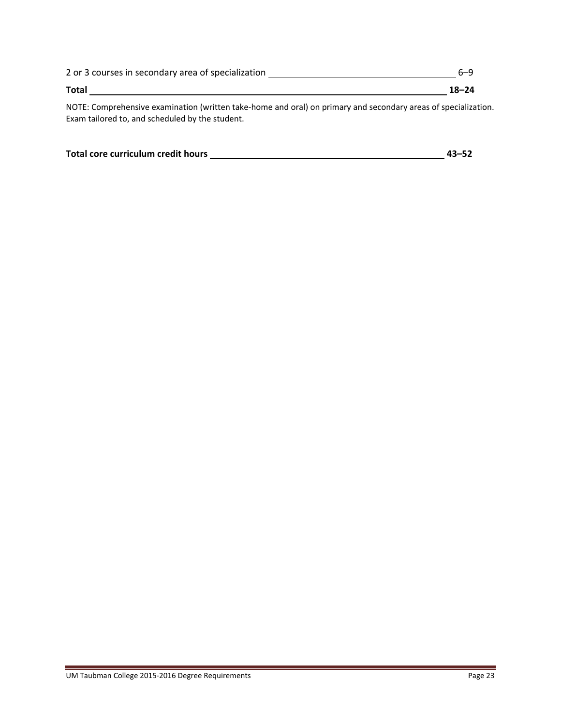| 2 or 3 courses in secondary area of specialization |           |
|----------------------------------------------------|-----------|
| <b>Total</b>                                       | $18 - 24$ |

NOTE: Comprehensive examination (written take‐home and oral) on primary and secondary areas of specialization. Exam tailored to, and scheduled by the student.

| Total core curriculum credit hours | $43 - 52$ |
|------------------------------------|-----------|
|                                    |           |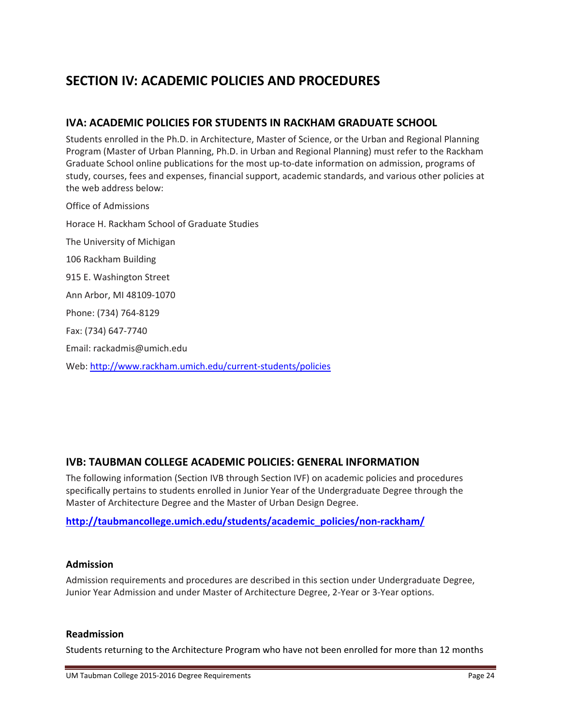# **SECTION IV: ACADEMIC POLICIES AND PROCEDURES**

# **IVA: ACADEMIC POLICIES FOR STUDENTS IN RACKHAM GRADUATE SCHOOL**

Students enrolled in the Ph.D. in Architecture, Master of Science, or the Urban and Regional Planning Program (Master of Urban Planning, Ph.D. in Urban and Regional Planning) must refer to the Rackham Graduate School online publications for the most up‐to‐date information on admission, programs of study, courses, fees and expenses, financial support, academic standards, and various other policies at the web address below:

Office of Admissions Horace H. Rackham School of Graduate Studies The University of Michigan 106 Rackham Building 915 E. Washington Street Ann Arbor, MI 48109‐1070 Phone: (734) 764‐8129 Fax: (734) 647‐7740 Email: rackadmis@umich.edu Web: http://www.rackham.umich.edu/current‐students/policies

# **IVB: TAUBMAN COLLEGE ACADEMIC POLICIES: GENERAL INFORMATION**

The following information (Section IVB through Section IVF) on academic policies and procedures specifically pertains to students enrolled in Junior Year of the Undergraduate Degree through the Master of Architecture Degree and the Master of Urban Design Degree.

# **http://taubmancollege.umich.edu/students/academic\_policies/non‐rackham/**

#### **Admission**

Admission requirements and procedures are described in this section under Undergraduate Degree, Junior Year Admission and under Master of Architecture Degree, 2‐Year or 3‐Year options.

#### **Readmission**

Students returning to the Architecture Program who have not been enrolled for more than 12 months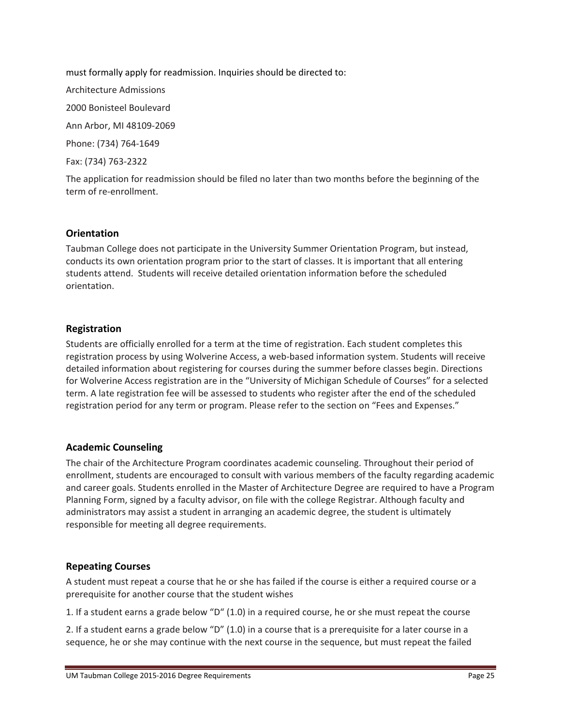must formally apply for readmission. Inquiries should be directed to: Architecture Admissions 2000 Bonisteel Boulevard Ann Arbor, MI 48109‐2069 Phone: (734) 764‐1649 Fax: (734) 763‐2322

The application for readmission should be filed no later than two months before the beginning of the term of re‐enrollment.

# **Orientation**

Taubman College does not participate in the University Summer Orientation Program, but instead, conducts its own orientation program prior to the start of classes. It is important that all entering students attend. Students will receive detailed orientation information before the scheduled orientation.

### **Registration**

Students are officially enrolled for a term at the time of registration. Each student completes this registration process by using Wolverine Access, a web-based information system. Students will receive detailed information about registering for courses during the summer before classes begin. Directions for Wolverine Access registration are in the "University of Michigan Schedule of Courses" for a selected term. A late registration fee will be assessed to students who register after the end of the scheduled registration period for any term or program. Please refer to the section on "Fees and Expenses."

#### **Academic Counseling**

The chair of the Architecture Program coordinates academic counseling. Throughout their period of enrollment, students are encouraged to consult with various members of the faculty regarding academic and career goals. Students enrolled in the Master of Architecture Degree are required to have a Program Planning Form, signed by a faculty advisor, on file with the college Registrar. Although faculty and administrators may assist a student in arranging an academic degree, the student is ultimately responsible for meeting all degree requirements.

# **Repeating Courses**

A student must repeat a course that he or she has failed if the course is either a required course or a prerequisite for another course that the student wishes

1. If a student earns a grade below "D" (1.0) in a required course, he or she must repeat the course

2. If a student earns a grade below "D" (1.0) in a course that is a prerequisite for a later course in a sequence, he or she may continue with the next course in the sequence, but must repeat the failed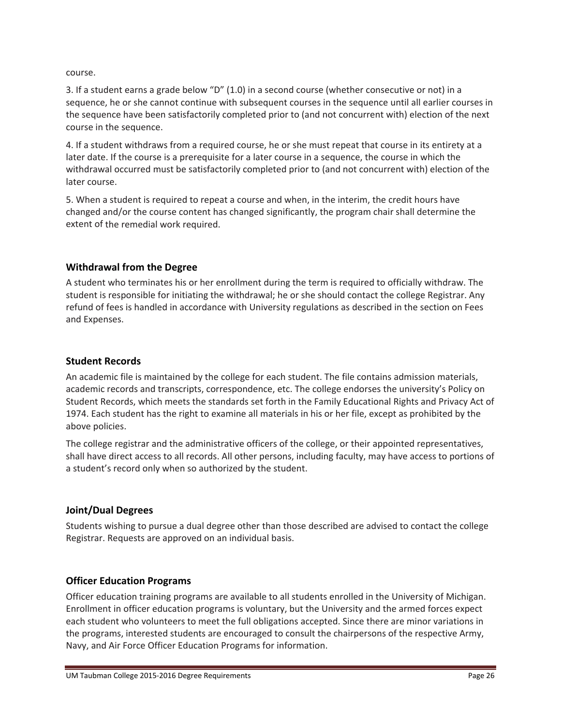course.

3. If a student earns a grade below "D" (1.0) in a second course (whether consecutive or not) in a sequence, he or she cannot continue with subsequent courses in the sequence until all earlier courses in the sequence have been satisfactorily completed prior to (and not concurrent with) election of the next course in the sequence.

4. If a student withdraws from a required course, he or she must repeat that course in its entirety at a later date. If the course is a prerequisite for a later course in a sequence, the course in which the withdrawal occurred must be satisfactorily completed prior to (and not concurrent with) election of the later course.

5. When a student is required to repeat a course and when, in the interim, the credit hours have changed and/or the course content has changed significantly, the program chair shall determine the extent of the remedial work required.

# **Withdrawal from the Degree**

A student who terminates his or her enrollment during the term is required to officially withdraw. The student is responsible for initiating the withdrawal; he or she should contact the college Registrar. Any refund of fees is handled in accordance with University regulations as described in the section on Fees and Expenses.

### **Student Records**

An academic file is maintained by the college for each student. The file contains admission materials, academic records and transcripts, correspondence, etc. The college endorses the university's Policy on Student Records, which meets the standards set forth in the Family Educational Rights and Privacy Act of 1974. Each student has the right to examine all materials in his or her file, except as prohibited by the above policies.

The college registrar and the administrative officers of the college, or their appointed representatives, shall have direct access to all records. All other persons, including faculty, may have access to portions of a student's record only when so authorized by the student.

# **Joint/Dual Degrees**

Students wishing to pursue a dual degree other than those described are advised to contact the college Registrar. Requests are approved on an individual basis.

# **Officer Education Programs**

Officer education training programs are available to all students enrolled in the University of Michigan. Enrollment in officer education programs is voluntary, but the University and the armed forces expect each student who volunteers to meet the full obligations accepted. Since there are minor variations in the programs, interested students are encouraged to consult the chairpersons of the respective Army, Navy, and Air Force Officer Education Programs for information.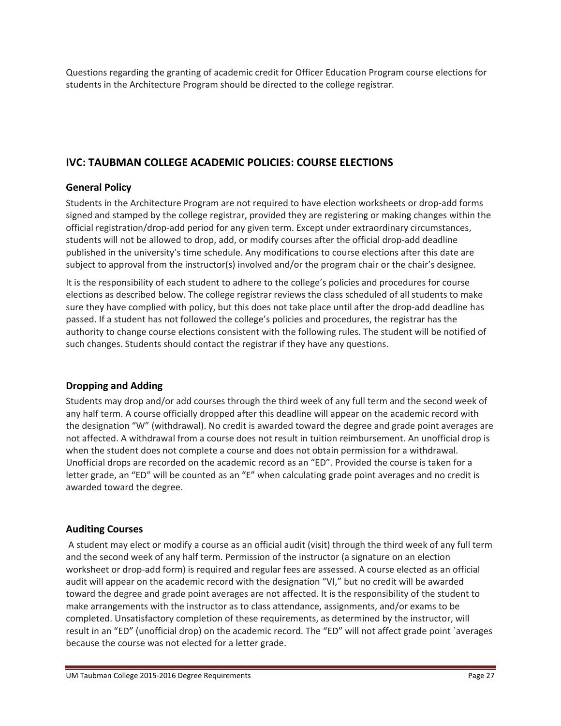Questions regarding the granting of academic credit for Officer Education Program course elections for students in the Architecture Program should be directed to the college registrar.

# **IVC: TAUBMAN COLLEGE ACADEMIC POLICIES: COURSE ELECTIONS**

# **General Policy**

Students in the Architecture Program are not required to have election worksheets or drop‐add forms signed and stamped by the college registrar, provided they are registering or making changes within the official registration/drop‐add period for any given term. Except under extraordinary circumstances, students will not be allowed to drop, add, or modify courses after the official drop-add deadline published in the university's time schedule. Any modifications to course elections after this date are subject to approval from the instructor(s) involved and/or the program chair or the chair's designee.

It is the responsibility of each student to adhere to the college's policies and procedures for course elections as described below. The college registrar reviews the class scheduled of all students to make sure they have complied with policy, but this does not take place until after the drop-add deadline has passed. If a student has not followed the college's policies and procedures, the registrar has the authority to change course elections consistent with the following rules. The student will be notified of such changes. Students should contact the registrar if they have any questions.

# **Dropping and Adding**

Students may drop and/or add courses through the third week of any full term and the second week of any half term. A course officially dropped after this deadline will appear on the academic record with the designation "W" (withdrawal). No credit is awarded toward the degree and grade point averages are not affected. A withdrawal from a course does not result in tuition reimbursement. An unofficial drop is when the student does not complete a course and does not obtain permission for a withdrawal. Unofficial drops are recorded on the academic record as an "ED". Provided the course is taken for a letter grade, an "ED" will be counted as an "E" when calculating grade point averages and no credit is awarded toward the degree.

# **Auditing Courses**

A student may elect or modify a course as an official audit (visit) through the third week of any full term and the second week of any half term. Permission of the instructor (a signature on an election worksheet or drop-add form) is required and regular fees are assessed. A course elected as an official audit will appear on the academic record with the designation "VI," but no credit will be awarded toward the degree and grade point averages are not affected. It is the responsibility of the student to make arrangements with the instructor as to class attendance, assignments, and/or exams to be completed. Unsatisfactory completion of these requirements, as determined by the instructor, will result in an "ED" (unofficial drop) on the academic record. The "ED" will not affect grade point `averages because the course was not elected for a letter grade.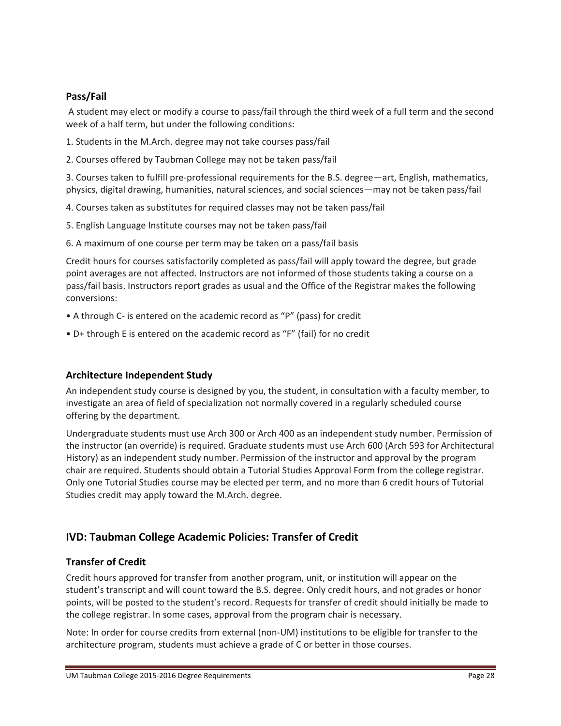# **Pass/Fail**

A student may elect or modify a course to pass/fail through the third week of a full term and the second week of a half term, but under the following conditions:

1. Students in the M.Arch. degree may not take courses pass/fail

2. Courses offered by Taubman College may not be taken pass/fail

3. Courses taken to fulfill pre‐professional requirements for the B.S. degree—art, English, mathematics, physics, digital drawing, humanities, natural sciences, and social sciences—may not be taken pass/fail

4. Courses taken as substitutes for required classes may not be taken pass/fail

5. English Language Institute courses may not be taken pass/fail

6. A maximum of one course per term may be taken on a pass/fail basis

Credit hours for courses satisfactorily completed as pass/fail will apply toward the degree, but grade point averages are not affected. Instructors are not informed of those students taking a course on a pass/fail basis. Instructors report grades as usual and the Office of the Registrar makes the following conversions:

- A through C‐ is entered on the academic record as "P" (pass) for credit
- D+ through E is entered on the academic record as "F" (fail) for no credit

# **Architecture Independent Study**

An independent study course is designed by you, the student, in consultation with a faculty member, to investigate an area of field of specialization not normally covered in a regularly scheduled course offering by the department.

Undergraduate students must use Arch 300 or Arch 400 as an independent study number. Permission of the instructor (an override) is required. Graduate students must use Arch 600 (Arch 593 for Architectural History) as an independent study number. Permission of the instructor and approval by the program chair are required. Students should obtain a Tutorial Studies Approval Form from the college registrar. Only one Tutorial Studies course may be elected per term, and no more than 6 credit hours of Tutorial Studies credit may apply toward the M.Arch. degree.

# **IVD: Taubman College Academic Policies: Transfer of Credit**

# **Transfer of Credit**

Credit hours approved for transfer from another program, unit, or institution will appear on the student's transcript and will count toward the B.S. degree. Only credit hours, and not grades or honor points, will be posted to the student's record. Requests for transfer of credit should initially be made to the college registrar. In some cases, approval from the program chair is necessary.

Note: In order for course credits from external (non‐UM) institutions to be eligible for transfer to the architecture program, students must achieve a grade of C or better in those courses.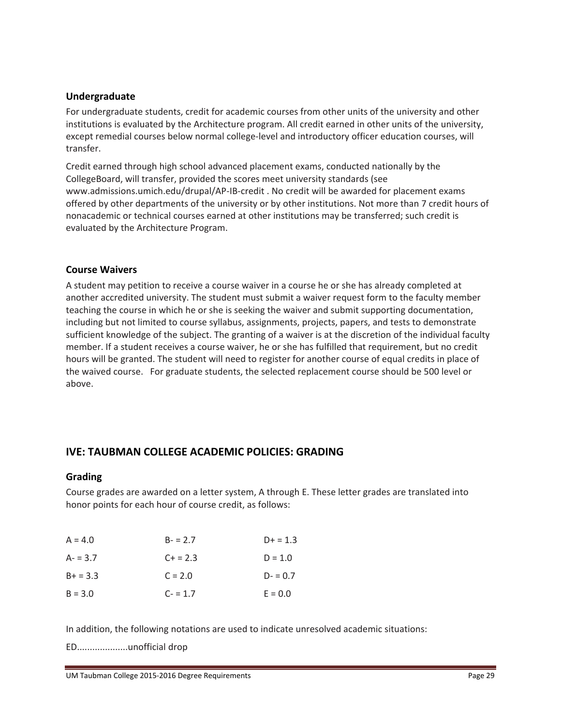### **Undergraduate**

For undergraduate students, credit for academic courses from other units of the university and other institutions is evaluated by the Architecture program. All credit earned in other units of the university, except remedial courses below normal college-level and introductory officer education courses, will transfer.

Credit earned through high school advanced placement exams, conducted nationally by the CollegeBoard, will transfer, provided the scores meet university standards (see www.admissions.umich.edu/drupal/AP‐IB‐credit . No credit will be awarded for placement exams offered by other departments of the university or by other institutions. Not more than 7 credit hours of nonacademic or technical courses earned at other institutions may be transferred; such credit is evaluated by the Architecture Program.

### **Course Waivers**

A student may petition to receive a course waiver in a course he or she has already completed at another accredited university. The student must submit a waiver request form to the faculty member teaching the course in which he or she is seeking the waiver and submit supporting documentation, including but not limited to course syllabus, assignments, projects, papers, and tests to demonstrate sufficient knowledge of the subject. The granting of a waiver is at the discretion of the individual faculty member. If a student receives a course waiver, he or she has fulfilled that requirement, but no credit hours will be granted. The student will need to register for another course of equal credits in place of the waived course. For graduate students, the selected replacement course should be 500 level or above.

# **IVE: TAUBMAN COLLEGE ACADEMIC POLICIES: GRADING**

#### **Grading**

Course grades are awarded on a letter system, A through E. These letter grades are translated into honor points for each hour of course credit, as follows:

| $A = 4.0$  | $B - 2.7$ | $D+ = 1.3$ |
|------------|-----------|------------|
| $A - 3.7$  | $C + 2.3$ | $D = 1.0$  |
| $B+ = 3.3$ | $C = 2.0$ | $D = 0.7$  |
| $B = 3.0$  | $C - 1.7$ | $E = 0.0$  |

In addition, the following notations are used to indicate unresolved academic situations:

ED....................unofficial drop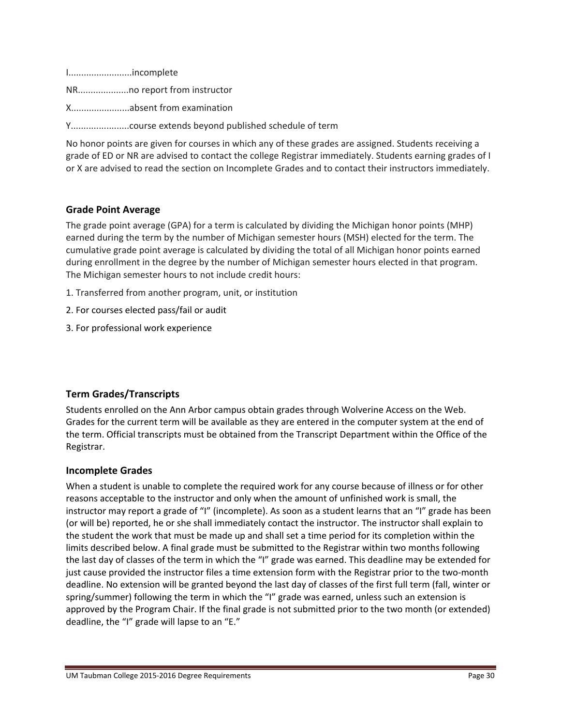I.........................incomplete

NR....................no report from instructor

X.......................absent from examination

Y.......................course extends beyond published schedule of term

No honor points are given for courses in which any of these grades are assigned. Students receiving a grade of ED or NR are advised to contact the college Registrar immediately. Students earning grades of I or X are advised to read the section on Incomplete Grades and to contact their instructors immediately.

### **Grade Point Average**

The grade point average (GPA) for a term is calculated by dividing the Michigan honor points (MHP) earned during the term by the number of Michigan semester hours (MSH) elected for the term. The cumulative grade point average is calculated by dividing the total of all Michigan honor points earned during enrollment in the degree by the number of Michigan semester hours elected in that program. The Michigan semester hours to not include credit hours:

- 1. Transferred from another program, unit, or institution
- 2. For courses elected pass/fail or audit
- 3. For professional work experience

#### **Term Grades/Transcripts**

Students enrolled on the Ann Arbor campus obtain grades through Wolverine Access on the Web. Grades for the current term will be available as they are entered in the computer system at the end of the term. Official transcripts must be obtained from the Transcript Department within the Office of the Registrar.

#### **Incomplete Grades**

When a student is unable to complete the required work for any course because of illness or for other reasons acceptable to the instructor and only when the amount of unfinished work is small, the instructor may report a grade of "I" (incomplete). As soon as a student learns that an "I" grade has been (or will be) reported, he or she shall immediately contact the instructor. The instructor shall explain to the student the work that must be made up and shall set a time period for its completion within the limits described below. A final grade must be submitted to the Registrar within two months following the last day of classes of the term in which the "I" grade was earned. This deadline may be extended for just cause provided the instructor files a time extension form with the Registrar prior to the two-month deadline. No extension will be granted beyond the last day of classes of the first full term (fall, winter or spring/summer) following the term in which the "I" grade was earned, unless such an extension is approved by the Program Chair. If the final grade is not submitted prior to the two month (or extended) deadline, the "I" grade will lapse to an "E."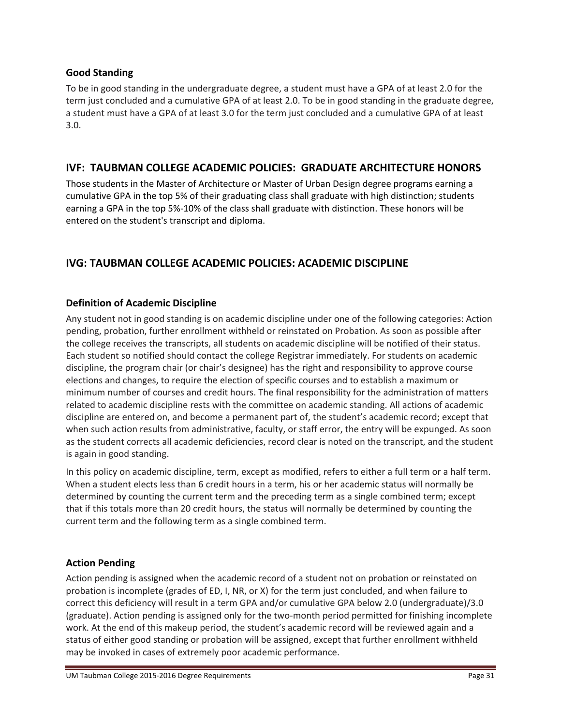# **Good Standing**

To be in good standing in the undergraduate degree, a student must have a GPA of at least 2.0 for the term just concluded and a cumulative GPA of at least 2.0. To be in good standing in the graduate degree, a student must have a GPA of at least 3.0 for the term just concluded and a cumulative GPA of at least 3.0.

# **IVF: TAUBMAN COLLEGE ACADEMIC POLICIES: GRADUATE ARCHITECTURE HONORS**

Those students in the Master of Architecture or Master of Urban Design degree programs earning a cumulative GPA in the top 5% of their graduating class shall graduate with high distinction; students earning a GPA in the top 5%‐10% of the class shall graduate with distinction. These honors will be entered on the student's transcript and diploma.

# **IVG: TAUBMAN COLLEGE ACADEMIC POLICIES: ACADEMIC DISCIPLINE**

# **Definition of Academic Discipline**

Any student not in good standing is on academic discipline under one of the following categories: Action pending, probation, further enrollment withheld or reinstated on Probation. As soon as possible after the college receives the transcripts, all students on academic discipline will be notified of their status. Each student so notified should contact the college Registrar immediately. For students on academic discipline, the program chair (or chair's designee) has the right and responsibility to approve course elections and changes, to require the election of specific courses and to establish a maximum or minimum number of courses and credit hours. The final responsibility for the administration of matters related to academic discipline rests with the committee on academic standing. All actions of academic discipline are entered on, and become a permanent part of, the student's academic record; except that when such action results from administrative, faculty, or staff error, the entry will be expunged. As soon as the student corrects all academic deficiencies, record clear is noted on the transcript, and the student is again in good standing.

In this policy on academic discipline, term, except as modified, refers to either a full term or a half term. When a student elects less than 6 credit hours in a term, his or her academic status will normally be determined by counting the current term and the preceding term as a single combined term; except that if this totals more than 20 credit hours, the status will normally be determined by counting the current term and the following term as a single combined term.

# **Action Pending**

Action pending is assigned when the academic record of a student not on probation or reinstated on probation is incomplete (grades of ED, I, NR, or X) for the term just concluded, and when failure to correct this deficiency will result in a term GPA and/or cumulative GPA below 2.0 (undergraduate)/3.0 (graduate). Action pending is assigned only for the two‐month period permitted for finishing incomplete work. At the end of this makeup period, the student's academic record will be reviewed again and a status of either good standing or probation will be assigned, except that further enrollment withheld may be invoked in cases of extremely poor academic performance.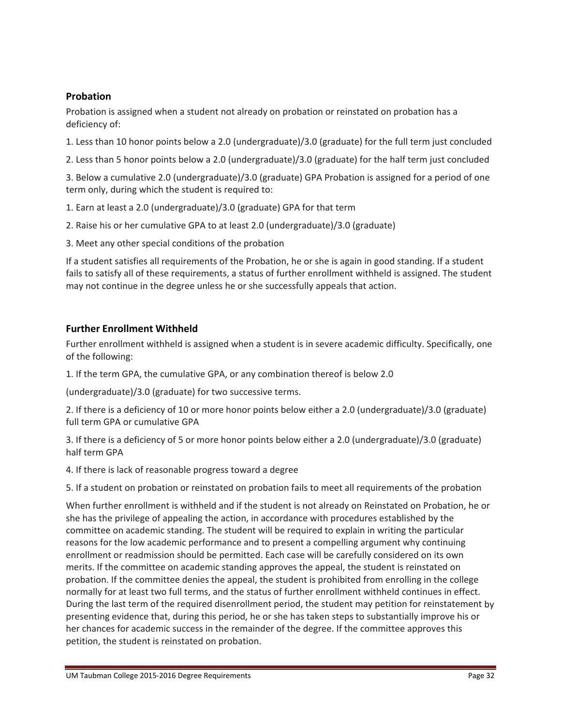# **Probation**

Probation is assigned when a student not already on probation or reinstated on probation has a deficiency of:

1. Less than 10 honor points below a 2.0 (undergraduate)/3.0 (graduate) for the full term just concluded

2. Less than 5 honor points below a 2.0 (undergraduate)/3.0 (graduate) for the half term just concluded

3. Below a cumulative 2.0 (undergraduate)/3.0 (graduate) GPA Probation is assigned for a period of one term only, during which the student is required to:

- 1. Earn at least a 2.0 (undergraduate)/3.0 (graduate) GPA for that term
- 2. Raise his or her cumulative GPA to at least 2.0 (undergraduate)/3.0 (graduate)
- 3. Meet any other special conditions of the probation

If a student satisfies all requirements of the Probation, he or she is again in good standing. If a student fails to satisfy all of these requirements, a status of further enrollment withheld is assigned. The student may not continue in the degree unless he or she successfully appeals that action.

# **Further Enrollment Withheld**

Further enrollment withheld is assigned when a student is in severe academic difficulty. Specifically, one of the following:

1. If the term GPA, the cumulative GPA, or any combination thereof is below 2.0

(undergraduate)/3.0 (graduate) for two successive terms.

2. If there is a deficiency of 10 or more honor points below either a 2.0 (undergraduate)/3.0 (graduate) full term GPA or cumulative GPA

3. If there is a deficiency of 5 or more honor points below either a 2.0 (undergraduate)/3.0 (graduate) half term GPA

4. If there is lack of reasonable progress toward a degree

5. If a student on probation or reinstated on probation fails to meet all requirements of the probation

When further enrollment is withheld and if the student is not already on Reinstated on Probation, he or she has the privilege of appealing the action, in accordance with procedures established by the committee on academic standing. The student will be required to explain in writing the particular reasons for the low academic performance and to present a compelling argument why continuing enrollment or readmission should be permitted. Each case will be carefully considered on its own merits. If the committee on academic standing approves the appeal, the student is reinstated on probation. If the committee denies the appeal, the student is prohibited from enrolling in the college normally for at least two full terms, and the status of further enrollment withheld continues in effect. During the last term of the required disenrollment period, the student may petition for reinstatement by presenting evidence that, during this period, he or she has taken steps to substantially improve his or her chances for academic success in the remainder of the degree. If the committee approves this petition, the student is reinstated on probation.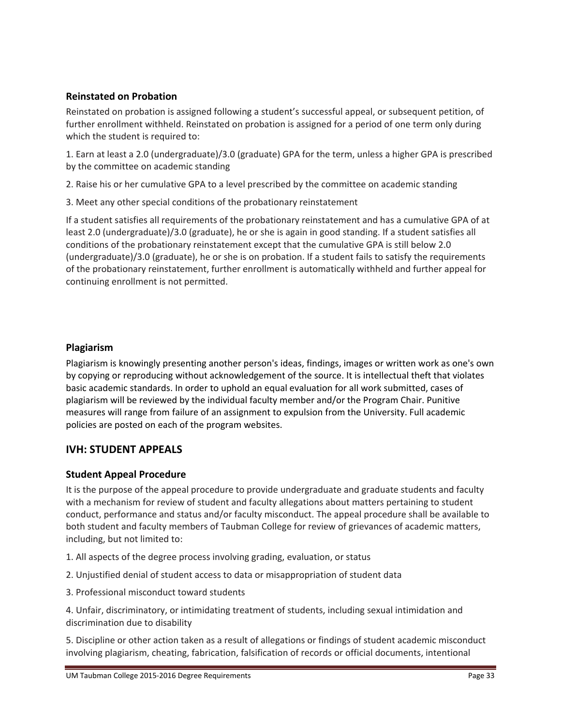# **Reinstated on Probation**

Reinstated on probation is assigned following a student's successful appeal, or subsequent petition, of further enrollment withheld. Reinstated on probation is assigned for a period of one term only during which the student is required to:

1. Earn at least a 2.0 (undergraduate)/3.0 (graduate) GPA for the term, unless a higher GPA is prescribed by the committee on academic standing

2. Raise his or her cumulative GPA to a level prescribed by the committee on academic standing

3. Meet any other special conditions of the probationary reinstatement

If a student satisfies all requirements of the probationary reinstatement and has a cumulative GPA of at least 2.0 (undergraduate)/3.0 (graduate), he or she is again in good standing. If a student satisfies all conditions of the probationary reinstatement except that the cumulative GPA is still below 2.0 (undergraduate)/3.0 (graduate), he or she is on probation. If a student fails to satisfy the requirements of the probationary reinstatement, further enrollment is automatically withheld and further appeal for continuing enrollment is not permitted.

# **Plagiarism**

Plagiarism is knowingly presenting another person's ideas, findings, images or written work as one's own by copying or reproducing without acknowledgement of the source. It is intellectual theft that violates basic academic standards. In order to uphold an equal evaluation for all work submitted, cases of plagiarism will be reviewed by the individual faculty member and/or the Program Chair. Punitive measures will range from failure of an assignment to expulsion from the University. Full academic policies are posted on each of the program websites.

# **IVH: STUDENT APPEALS**

# **Student Appeal Procedure**

It is the purpose of the appeal procedure to provide undergraduate and graduate students and faculty with a mechanism for review of student and faculty allegations about matters pertaining to student conduct, performance and status and/or faculty misconduct. The appeal procedure shall be available to both student and faculty members of Taubman College for review of grievances of academic matters, including, but not limited to:

- 1. All aspects of the degree process involving grading, evaluation, or status
- 2. Unjustified denial of student access to data or misappropriation of student data
- 3. Professional misconduct toward students

4. Unfair, discriminatory, or intimidating treatment of students, including sexual intimidation and discrimination due to disability

5. Discipline or other action taken as a result of allegations or findings of student academic misconduct involving plagiarism, cheating, fabrication, falsification of records or official documents, intentional